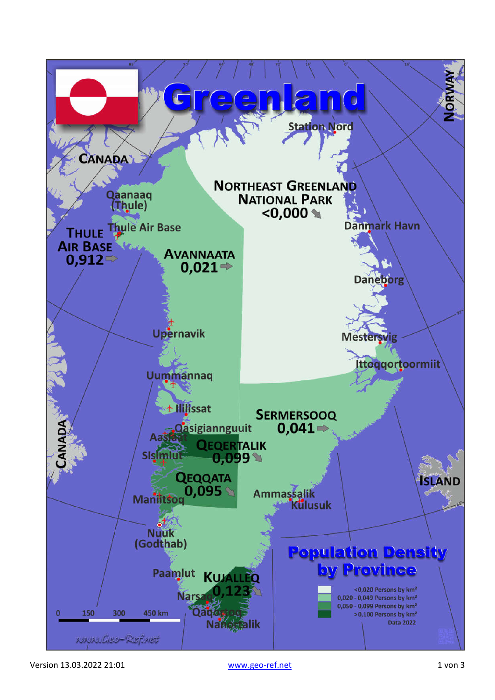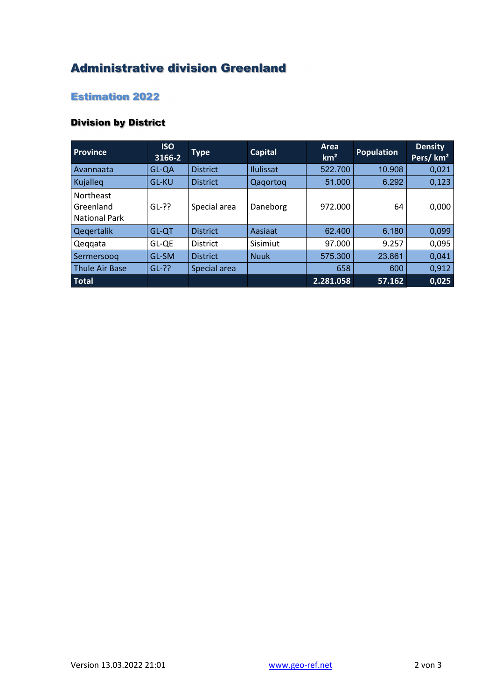## Administrative division Greenland

## Estimation 2022

## Division by District

| <b>Province</b>                                       | <b>ISO</b><br>3166-2 | <b>Type</b>     | <b>Capital</b>   | Area<br>km <sup>2</sup> | <b>Population</b> | <b>Density</b><br>Pers/km <sup>2</sup> |
|-------------------------------------------------------|----------------------|-----------------|------------------|-------------------------|-------------------|----------------------------------------|
| Avannaata                                             | GL-QA                | <b>District</b> | <b>Ilulissat</b> | 522.700                 | 10.908            | 0,021                                  |
| Kujalleq                                              | <b>GL-KU</b>         | <b>District</b> | Qagortog         | 51.000                  | 6.292             | 0,123                                  |
| <b>Northeast</b><br>Greenland<br><b>National Park</b> | $GL-??$              | Special area    | Daneborg         | 972.000                 | 64                | 0,000                                  |
| Qegertalik                                            | <b>GL-QT</b>         | <b>District</b> | Aasiaat          | 62.400                  | 6.180             | 0,099                                  |
| Qeggata                                               | GL-QE                | <b>District</b> | Sisimiut         | 97.000                  | 9.257             | 0,095                                  |
| Sermersoog                                            | GL-SM                | <b>District</b> | <b>Nuuk</b>      | 575.300                 | 23.861            | 0,041                                  |
| <b>Thule Air Base</b>                                 | $GL-??$              | Special area    |                  | 658                     | 600               | 0,912                                  |
| <b>Total</b>                                          |                      |                 |                  | 2.281.058               | 57.162            | 0,025                                  |